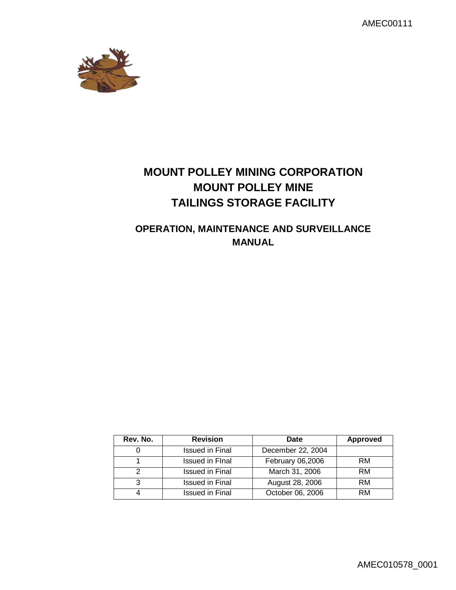AMEC00111



# **MOUNT POLLEY MINING CORPORATION MOUNT POLLEY MINE TAILINGS STORAGE FACILITY**

# **OPERATION, MAINTENANCE AND SURVEILLANCE MANUAL**

| Rev. No. | <b>Revision</b>        | Date              | <b>Approved</b> |
|----------|------------------------|-------------------|-----------------|
|          | Issued in Final        | December 22, 2004 |                 |
|          | <b>Issued in Final</b> | February 06,2006  | <b>RM</b>       |
|          | Issued in Final        | March 31, 2006    | <b>RM</b>       |
| 3        | Issued in Final        | August 28, 2006   | <b>RM</b>       |
|          | Issued in Final        | October 06, 2006  | RM              |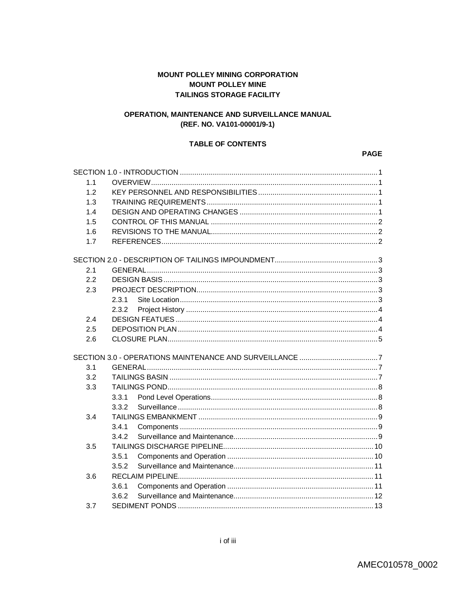# **MOUNT POLLEY MINING CORPORATION MOUNT POLLEY MINE TAILINGS STORAGE FACILITY**

# OPERATION, MAINTENANCE AND SURVEILLANCE MANUAL (REF. NO. VA101-00001/9-1)

## **TABLE OF CONTENTS**

#### **PAGE**

| 1.1 |       |  |  |
|-----|-------|--|--|
| 12  |       |  |  |
| 1.3 |       |  |  |
| 1.4 |       |  |  |
| 1.5 |       |  |  |
| 1.6 |       |  |  |
| 1.7 |       |  |  |
|     |       |  |  |
| 2.1 |       |  |  |
| 2.2 |       |  |  |
| 2.3 |       |  |  |
|     | 2.3.1 |  |  |
|     | 2.3.2 |  |  |
| 2.4 |       |  |  |
| 2.5 |       |  |  |
| 2.6 |       |  |  |
|     |       |  |  |
| 3.1 |       |  |  |
| 3.2 |       |  |  |
| 3.3 |       |  |  |
|     | 3.3.1 |  |  |
|     | 3.3.2 |  |  |
| 3.4 |       |  |  |
|     | 3.4.1 |  |  |
|     | 3.4.2 |  |  |
| 3.5 |       |  |  |
|     | 3.5.1 |  |  |
|     | 3.5.2 |  |  |
| 3.6 |       |  |  |
|     | 3.6.1 |  |  |
|     | 3.6.2 |  |  |
| 3.7 |       |  |  |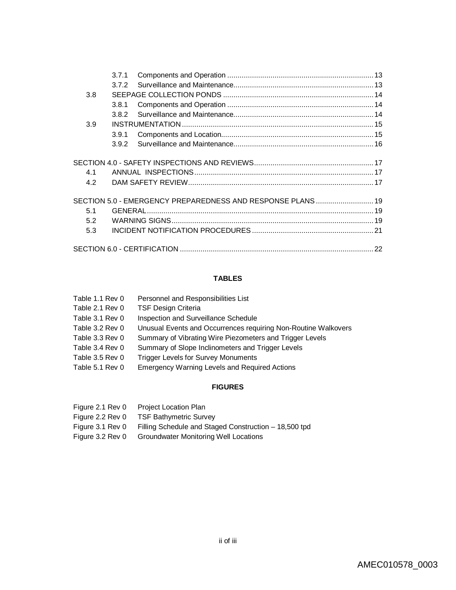|     | 3.7.1 |                                                             |  |
|-----|-------|-------------------------------------------------------------|--|
|     | 3.7.2 |                                                             |  |
| 3.8 |       |                                                             |  |
|     | 3.8.1 |                                                             |  |
|     | 3.8.2 |                                                             |  |
| 3.9 |       |                                                             |  |
|     | 3.9.1 |                                                             |  |
|     | 3.9.2 |                                                             |  |
|     |       |                                                             |  |
| 4.1 |       |                                                             |  |
| 4.2 |       |                                                             |  |
|     |       | SECTION 5.0 - EMERGENCY PREPAREDNESS AND RESPONSE PLANS  19 |  |
| 5.1 |       |                                                             |  |
| 5.2 |       |                                                             |  |
| 5.3 |       |                                                             |  |
|     |       |                                                             |  |

# **TABLES**

| Table 1.1 Rev 0 | Personnel and Responsibilities List                            |
|-----------------|----------------------------------------------------------------|
| Table 2.1 Rev 0 | <b>TSF Design Criteria</b>                                     |
| Table 3.1 Rev 0 | Inspection and Surveillance Schedule                           |
| Table 3.2 Rev 0 | Unusual Events and Occurrences requiring Non-Routine Walkovers |
| Table 3.3 Rev 0 | Summary of Vibrating Wire Piezometers and Trigger Levels       |
| Table 3.4 Rev 0 | Summary of Slope Inclinometers and Trigger Levels              |
| Table 3.5 Rev 0 | <b>Trigger Levels for Survey Monuments</b>                     |
| Table 5.1 Rev 0 | <b>Emergency Warning Levels and Required Actions</b>           |
|                 |                                                                |

# **FIGURES**

| Figure 2.1 Rev 0 | <b>Project Location Plan</b>                          |
|------------------|-------------------------------------------------------|
| Figure 2.2 Rev 0 | <b>TSF Bathymetric Survey</b>                         |
| Figure 3.1 Rev 0 | Filling Schedule and Staged Construction – 18,500 tpd |
| Figure 3.2 Rev 0 | <b>Groundwater Monitoring Well Locations</b>          |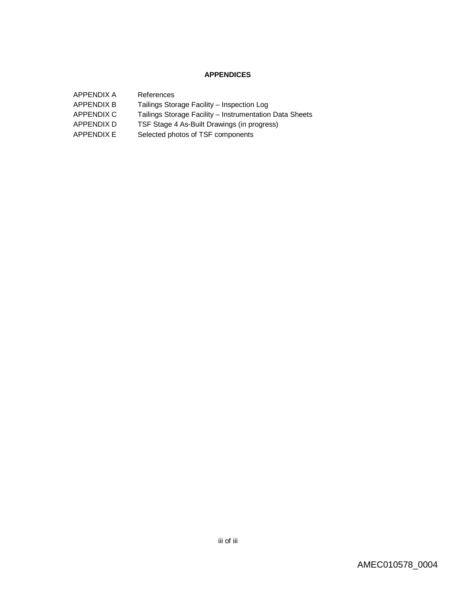# **APPENDICES**

| APPENDIX A        | References                                              |
|-------------------|---------------------------------------------------------|
| <b>APPENDIX B</b> | Tailings Storage Facility - Inspection Log              |
| APPENDIX C        | Tailings Storage Facility – Instrumentation Data Sheets |
| APPENDIX D        | TSF Stage 4 As-Built Drawings (in progress)             |
| APPENDIX E        | Selected photos of TSF components                       |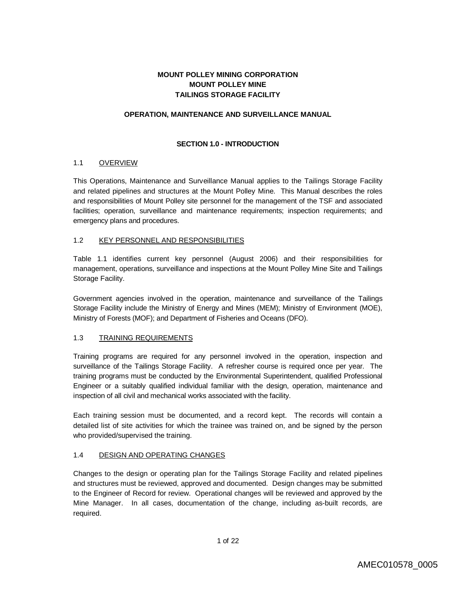# **MOUNT POLLEY MINING CORPORATION MOUNT POLLEY MINE TAILINGS STORAGE FACILITY**

## **OPERATION, MAINTENANCE AND SURVEILLANCE MANUAL**

# **SECTION 1.0 - INTRODUCTION**

## 1.1 OVERVIEW

This Operations, Maintenance and Surveillance Manual applies to the Tailings Storage Facility and related pipelines and structures at the Mount Polley Mine. This Manual describes the roles and responsibilities of Mount Polley site personnel for the management of the TSF and associated facilities; operation, surveillance and maintenance requirements; inspection requirements; and emergency plans and procedures.

## 1.2 KEY PERSONNEL AND RESPONSIBILITIES

Table 1.1 identifies current key personnel (August 2006) and their responsibilities for management, operations, surveillance and inspections at the Mount Polley Mine Site and Tailings Storage Facility.

Government agencies involved in the operation, maintenance and surveillance of the Tailings Storage Facility include the Ministry of Energy and Mines (MEM); Ministry of Environment (MOE), Ministry of Forests (MOF); and Department of Fisheries and Oceans (DFO).

# 1.3 TRAINING REQUIREMENTS

Training programs are required for any personnel involved in the operation, inspection and surveillance of the Tailings Storage Facility. A refresher course is required once per year. The training programs must be conducted by the Environmental Superintendent, qualified Professional Engineer or a suitably qualified individual familiar with the design, operation, maintenance and inspection of all civil and mechanical works associated with the facility.

Each training session must be documented, and a record kept. The records will contain a detailed list of site activities for which the trainee was trained on, and be signed by the person who provided/supervised the training.

# 1.4 DESIGN AND OPERATING CHANGES

Changes to the design or operating plan for the Tailings Storage Facility and related pipelines and structures must be reviewed, approved and documented. Design changes may be submitted to the Engineer of Record for review. Operational changes will be reviewed and approved by the Mine Manager. In all cases, documentation of the change, including as-built records, are required.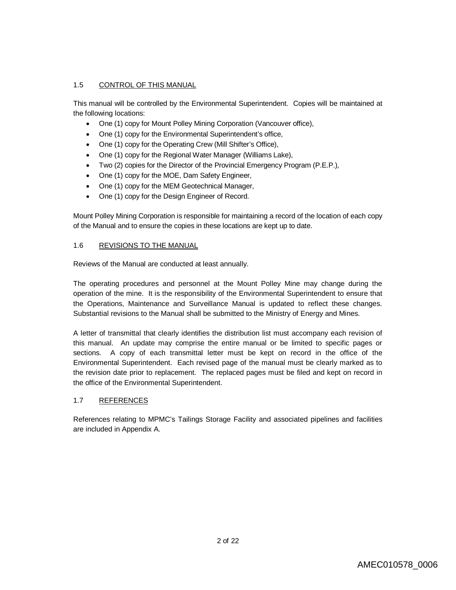# 1.5 CONTROL OF THIS MANUAL

This manual will be controlled by the Environmental Superintendent. Copies will be maintained at the following locations:

- One (1) copy for Mount Polley Mining Corporation (Vancouver office),
- One (1) copy for the Environmental Superintendent's office,
- One (1) copy for the Operating Crew (Mill Shifter's Office),
- One (1) copy for the Regional Water Manager (Williams Lake),
- Two (2) copies for the Director of the Provincial Emergency Program (P.E.P.),
- One (1) copy for the MOE, Dam Safety Engineer,
- One (1) copy for the MEM Geotechnical Manager,
- One (1) copy for the Design Engineer of Record.

Mount Polley Mining Corporation is responsible for maintaining a record of the location of each copy of the Manual and to ensure the copies in these locations are kept up to date.

## 1.6 REVISIONS TO THE MANUAL

Reviews of the Manual are conducted at least annually.

The operating procedures and personnel at the Mount Polley Mine may change during the operation of the mine. It is the responsibility of the Environmental Superintendent to ensure that the Operations, Maintenance and Surveillance Manual is updated to reflect these changes. Substantial revisions to the Manual shall be submitted to the Ministry of Energy and Mines.

A letter of transmittal that clearly identifies the distribution list must accompany each revision of this manual. An update may comprise the entire manual or be limited to specific pages or sections. A copy of each transmittal letter must be kept on record in the office of the Environmental Superintendent. Each revised page of the manual must be clearly marked as to the revision date prior to replacement. The replaced pages must be filed and kept on record in the office of the Environmental Superintendent.

# 1.7 REFERENCES

References relating to MPMC's Tailings Storage Facility and associated pipelines and facilities are included in Appendix A.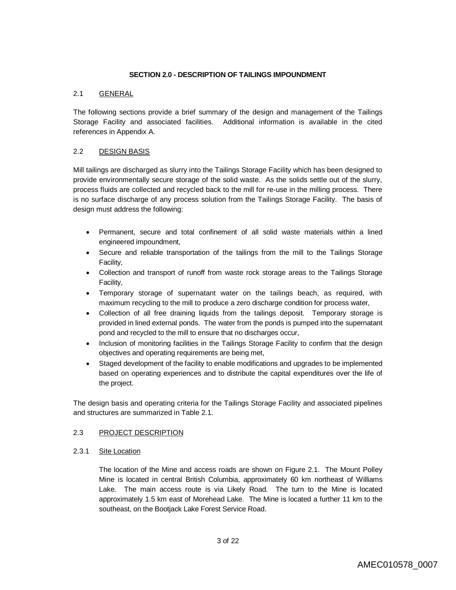## **SECTION 2.0 - DESCRIPTION OF TAILINGS IMPOUNDMENT**

## 2.1 GENERAL

The following sections provide a brief summary of the design and management of the Tailings Storage Facility and associated facilities. Additional information is available in the cited references in Appendix A.

# 2.2 DESIGN BASIS

Mill tailings are discharged as slurry into the Tailings Storage Facility which has been designed to provide environmentally secure storage of the solid waste. As the solids settle out of the slurry, process fluids are collected and recycled back to the mill for re-use in the milling process. There is no surface discharge of any process solution from the Tailings Storage Facility. The basis of design must address the following:

- Permanent, secure and total confinement of all solid waste materials within a lined engineered impoundment,
- Secure and reliable transportation of the tailings from the mill to the Tailings Storage Facility,
- Collection and transport of runoff from waste rock storage areas to the Tailings Storage Facility,
- Temporary storage of supernatant water on the tailings beach, as required, with maximum recycling to the mill to produce a zero discharge condition for process water,
- Collection of all free draining liquids from the tailings deposit. Temporary storage is provided in lined external ponds. The water from the ponds is pumped into the supernatant pond and recycled to the mill to ensure that no discharges occur,
- Inclusion of monitoring facilities in the Tailings Storage Facility to confirm that the design objectives and operating requirements are being met,
- Staged development of the facility to enable modifications and upgrades to be implemented based on operating experiences and to distribute the capital expenditures over the life of the project.

The design basis and operating criteria for the Tailings Storage Facility and associated pipelines and structures are summarized in Table 2.1.

#### 2.3 PROJECT DESCRIPTION

#### 2.3.1 Site Location

The location of the Mine and access roads are shown on Figure 2.1. The Mount Polley Mine is located in central British Columbia, approximately 60 km northeast of Williams Lake. The main access route is via Likely Road. The turn to the Mine is located approximately 1.5 km east of Morehead Lake. The Mine is located a further 11 km to the southeast, on the Bootjack Lake Forest Service Road.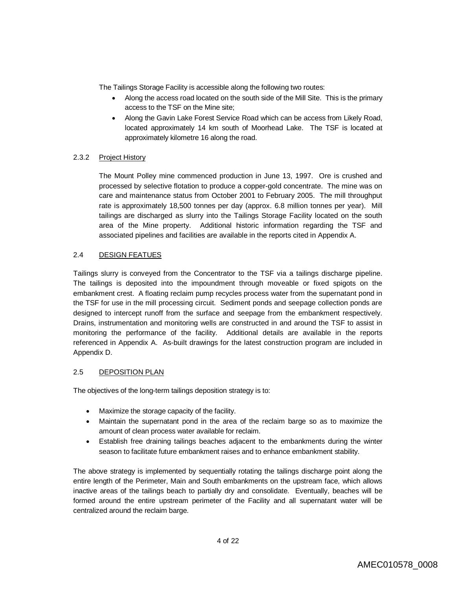The Tailings Storage Facility is accessible along the following two routes:

- Along the access road located on the south side of the Mill Site. This is the primary access to the TSF on the Mine site;
- Along the Gavin Lake Forest Service Road which can be access from Likely Road, located approximately 14 km south of Moorhead Lake. The TSF is located at approximately kilometre 16 along the road.

# 2.3.2 Project History

The Mount Polley mine commenced production in June 13, 1997. Ore is crushed and processed by selective flotation to produce a copper-gold concentrate. The mine was on care and maintenance status from October 2001 to February 2005. The mill throughput rate is approximately 18,500 tonnes per day (approx. 6.8 million tonnes per year). Mill tailings are discharged as slurry into the Tailings Storage Facility located on the south area of the Mine property. Additional historic information regarding the TSF and associated pipelines and facilities are available in the reports cited in Appendix A.

## 2.4 DESIGN FEATUES

Tailings slurry is conveyed from the Concentrator to the TSF via a tailings discharge pipeline. The tailings is deposited into the impoundment through moveable or fixed spigots on the embankment crest. A floating reclaim pump recycles process water from the supernatant pond in the TSF for use in the mill processing circuit. Sediment ponds and seepage collection ponds are designed to intercept runoff from the surface and seepage from the embankment respectively. Drains, instrumentation and monitoring wells are constructed in and around the TSF to assist in monitoring the performance of the facility. Additional details are available in the reports referenced in Appendix A. As-built drawings for the latest construction program are included in Appendix D.

#### 2.5 DEPOSITION PLAN

The objectives of the long-term tailings deposition strategy is to:

- Maximize the storage capacity of the facility.
- Maintain the supernatant pond in the area of the reclaim barge so as to maximize the amount of clean process water available for reclaim.
- Establish free draining tailings beaches adjacent to the embankments during the winter season to facilitate future embankment raises and to enhance embankment stability.

The above strategy is implemented by sequentially rotating the tailings discharge point along the entire length of the Perimeter, Main and South embankments on the upstream face, which allows inactive areas of the tailings beach to partially dry and consolidate. Eventually, beaches will be formed around the entire upstream perimeter of the Facility and all supernatant water will be centralized around the reclaim barge.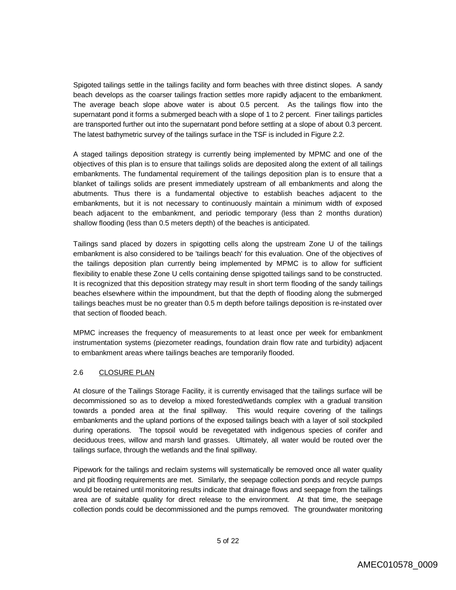Spigoted tailings settle in the tailings facility and form beaches with three distinct slopes. A sandy beach develops as the coarser tailings fraction settles more rapidly adjacent to the embankment. The average beach slope above water is about 0.5 percent. As the tailings flow into the supernatant pond it forms a submerged beach with a slope of 1 to 2 percent. Finer tailings particles are transported further out into the supernatant pond before settling at a slope of about 0.3 percent. The latest bathymetric survey of the tailings surface in the TSF is included in Figure 2.2.

A staged tailings deposition strategy is currently being implemented by MPMC and one of the objectives of this plan is to ensure that tailings solids are deposited along the extent of all tailings embankments. The fundamental requirement of the tailings deposition plan is to ensure that a blanket of tailings solids are present immediately upstream of all embankments and along the abutments. Thus there is a fundamental objective to establish beaches adjacent to the embankments, but it is not necessary to continuously maintain a minimum width of exposed beach adjacent to the embankment, and periodic temporary (less than 2 months duration) shallow flooding (less than 0.5 meters depth) of the beaches is anticipated.

Tailings sand placed by dozers in spigotting cells along the upstream Zone U of the tailings embankment is also considered to be 'tailings beach' for this evaluation. One of the objectives of the tailings deposition plan currently being implemented by MPMC is to allow for sufficient flexibility to enable these Zone U cells containing dense spigotted tailings sand to be constructed. It is recognized that this deposition strategy may result in short term flooding of the sandy tailings beaches elsewhere within the impoundment, but that the depth of flooding along the submerged tailings beaches must be no greater than 0.5 m depth before tailings deposition is re-instated over that section of flooded beach.

MPMC increases the frequency of measurements to at least once per week for embankment instrumentation systems (piezometer readings, foundation drain flow rate and turbidity) adjacent to embankment areas where tailings beaches are temporarily flooded.

# 2.6 CLOSURE PLAN

At closure of the Tailings Storage Facility, it is currently envisaged that the tailings surface will be decommissioned so as to develop a mixed forested/wetlands complex with a gradual transition towards a ponded area at the final spillway. This would require covering of the tailings embankments and the upland portions of the exposed tailings beach with a layer of soil stockpiled during operations. The topsoil would be revegetated with indigenous species of conifer and deciduous trees, willow and marsh land grasses. Ultimately, all water would be routed over the tailings surface, through the wetlands and the final spillway.

Pipework for the tailings and reclaim systems will systematically be removed once all water quality and pit flooding requirements are met. Similarly, the seepage collection ponds and recycle pumps would be retained until monitoring results indicate that drainage flows and seepage from the tailings area are of suitable quality for direct release to the environment. At that time, the seepage collection ponds could be decommissioned and the pumps removed. The groundwater monitoring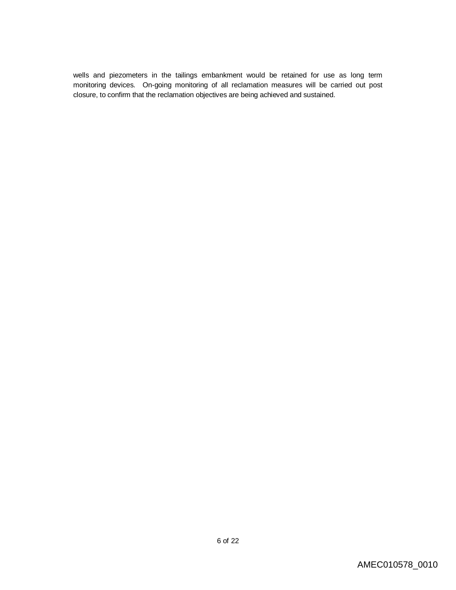wells and piezometers in the tailings embankment would be retained for use as long term monitoring devices. On-going monitoring of all reclamation measures will be carried out post closure, to confirm that the reclamation objectives are being achieved and sustained.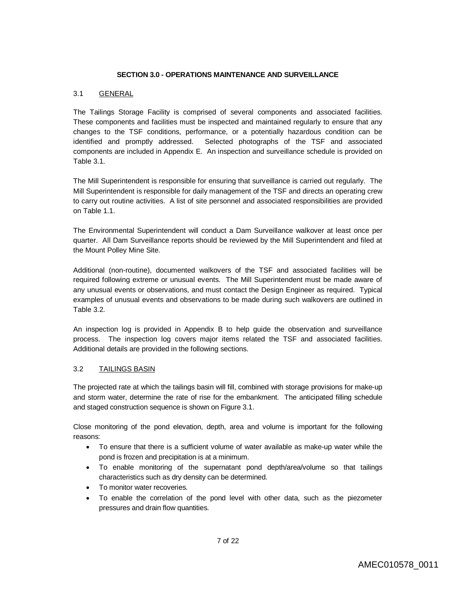#### **SECTION 3.0 - OPERATIONS MAINTENANCE AND SURVEILLANCE**

## 3.1 GENERAL

The Tailings Storage Facility is comprised of several components and associated facilities. These components and facilities must be inspected and maintained regularly to ensure that any changes to the TSF conditions, performance, or a potentially hazardous condition can be identified and promptly addressed. Selected photographs of the TSF and associated components are included in Appendix E. An inspection and surveillance schedule is provided on Table 3.1.

The Mill Superintendent is responsible for ensuring that surveillance is carried out regularly. The Mill Superintendent is responsible for daily management of the TSF and directs an operating crew to carry out routine activities. A list of site personnel and associated responsibilities are provided on Table 1.1.

The Environmental Superintendent will conduct a Dam Surveillance walkover at least once per quarter. All Dam Surveillance reports should be reviewed by the Mill Superintendent and filed at the Mount Polley Mine Site.

Additional (non-routine), documented walkovers of the TSF and associated facilities will be required following extreme or unusual events. The Mill Superintendent must be made aware of any unusual events or observations, and must contact the Design Engineer as required. Typical examples of unusual events and observations to be made during such walkovers are outlined in Table 3.2.

An inspection log is provided in Appendix B to help guide the observation and surveillance process. The inspection log covers major items related the TSF and associated facilities. Additional details are provided in the following sections.

#### 3.2 TAILINGS BASIN

The projected rate at which the tailings basin will fill, combined with storage provisions for make-up and storm water, determine the rate of rise for the embankment. The anticipated filling schedule and staged construction sequence is shown on Figure 3.1.

Close monitoring of the pond elevation, depth, area and volume is important for the following reasons:

- To ensure that there is a sufficient volume of water available as make-up water while the pond is frozen and precipitation is at a minimum.
- To enable monitoring of the supernatant pond depth/area/volume so that tailings characteristics such as dry density can be determined.
- To monitor water recoveries.
- To enable the correlation of the pond level with other data, such as the piezometer pressures and drain flow quantities.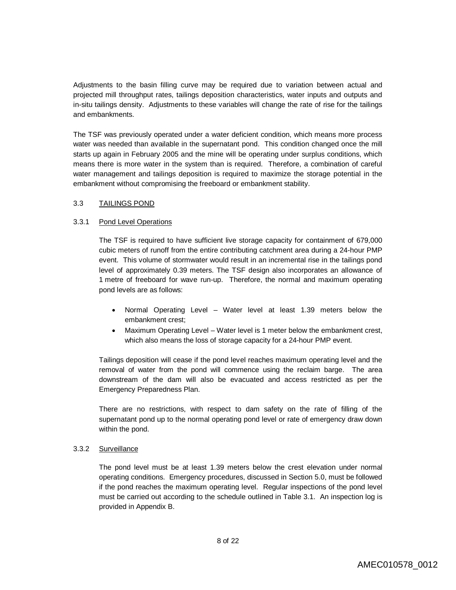Adjustments to the basin filling curve may be required due to variation between actual and projected mill throughput rates, tailings deposition characteristics, water inputs and outputs and in-situ tailings density. Adjustments to these variables will change the rate of rise for the tailings and embankments.

The TSF was previously operated under a water deficient condition, which means more process water was needed than available in the supernatant pond. This condition changed once the mill starts up again in February 2005 and the mine will be operating under surplus conditions, which means there is more water in the system than is required. Therefore, a combination of careful water management and tailings deposition is required to maximize the storage potential in the embankment without compromising the freeboard or embankment stability.

#### 3.3 TAILINGS POND

## 3.3.1 Pond Level Operations

The TSF is required to have sufficient live storage capacity for containment of 679,000 cubic meters of runoff from the entire contributing catchment area during a 24-hour PMP event. This volume of stormwater would result in an incremental rise in the tailings pond level of approximately 0.39 meters. The TSF design also incorporates an allowance of 1 metre of freeboard for wave run-up. Therefore, the normal and maximum operating pond levels are as follows:

- Normal Operating Level Water level at least 1.39 meters below the embankment crest;
- Maximum Operating Level Water level is 1 meter below the embankment crest, which also means the loss of storage capacity for a 24-hour PMP event.

Tailings deposition will cease if the pond level reaches maximum operating level and the removal of water from the pond will commence using the reclaim barge. The area downstream of the dam will also be evacuated and access restricted as per the Emergency Preparedness Plan.

There are no restrictions, with respect to dam safety on the rate of filling of the supernatant pond up to the normal operating pond level or rate of emergency draw down within the pond.

# 3.3.2 Surveillance

The pond level must be at least 1.39 meters below the crest elevation under normal operating conditions. Emergency procedures, discussed in Section 5.0, must be followed if the pond reaches the maximum operating level. Regular inspections of the pond level must be carried out according to the schedule outlined in Table 3.1. An inspection log is provided in Appendix B.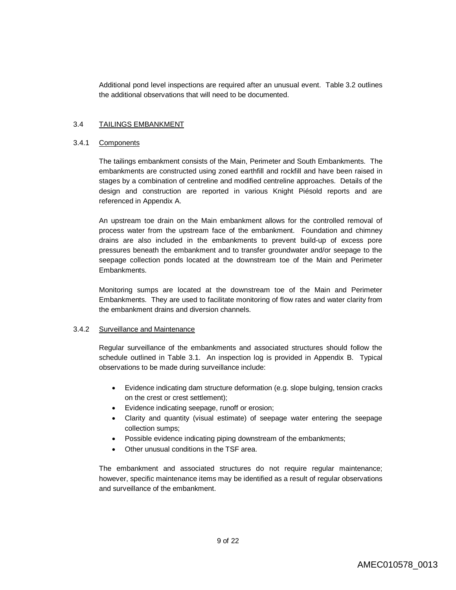Additional pond level inspections are required after an unusual event. Table 3.2 outlines the additional observations that will need to be documented.

#### 3.4 TAILINGS EMBANKMENT

#### 3.4.1 Components

The tailings embankment consists of the Main, Perimeter and South Embankments. The embankments are constructed using zoned earthfill and rockfill and have been raised in stages by a combination of centreline and modified centreline approaches. Details of the design and construction are reported in various Knight Piésold reports and are referenced in Appendix A.

An upstream toe drain on the Main embankment allows for the controlled removal of process water from the upstream face of the embankment. Foundation and chimney drains are also included in the embankments to prevent build-up of excess pore pressures beneath the embankment and to transfer groundwater and/or seepage to the seepage collection ponds located at the downstream toe of the Main and Perimeter Embankments.

Monitoring sumps are located at the downstream toe of the Main and Perimeter Embankments. They are used to facilitate monitoring of flow rates and water clarity from the embankment drains and diversion channels.

#### 3.4.2 Surveillance and Maintenance

Regular surveillance of the embankments and associated structures should follow the schedule outlined in Table 3.1. An inspection log is provided in Appendix B. Typical observations to be made during surveillance include:

- Evidence indicating dam structure deformation (e.g. slope bulging, tension cracks on the crest or crest settlement);
- Evidence indicating seepage, runoff or erosion;
- Clarity and quantity (visual estimate) of seepage water entering the seepage collection sumps;
- Possible evidence indicating piping downstream of the embankments;
- Other unusual conditions in the TSF area.

The embankment and associated structures do not require regular maintenance; however, specific maintenance items may be identified as a result of regular observations and surveillance of the embankment.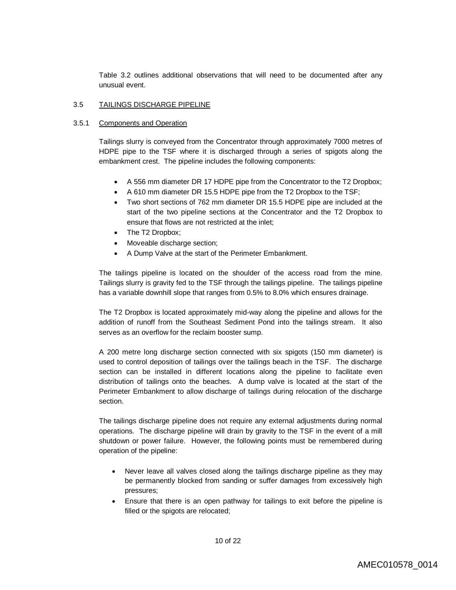Table 3.2 outlines additional observations that will need to be documented after any unusual event.

#### 3.5 TAILINGS DISCHARGE PIPELINE

#### 3.5.1 Components and Operation

Tailings slurry is conveyed from the Concentrator through approximately 7000 metres of HDPE pipe to the TSF where it is discharged through a series of spigots along the embankment crest. The pipeline includes the following components:

- A 556 mm diameter DR 17 HDPE pipe from the Concentrator to the T2 Dropbox;
- A 610 mm diameter DR 15.5 HDPE pipe from the T2 Dropbox to the TSF;
- Two short sections of 762 mm diameter DR 15.5 HDPE pipe are included at the start of the two pipeline sections at the Concentrator and the T2 Dropbox to ensure that flows are not restricted at the inlet;
- The T2 Dropbox;
- Moveable discharge section;
- A Dump Valve at the start of the Perimeter Embankment.

The tailings pipeline is located on the shoulder of the access road from the mine. Tailings slurry is gravity fed to the TSF through the tailings pipeline. The tailings pipeline has a variable downhill slope that ranges from 0.5% to 8.0% which ensures drainage.

The T2 Dropbox is located approximately mid-way along the pipeline and allows for the addition of runoff from the Southeast Sediment Pond into the tailings stream. It also serves as an overflow for the reclaim booster sump.

A 200 metre long discharge section connected with six spigots (150 mm diameter) is used to control deposition of tailings over the tailings beach in the TSF. The discharge section can be installed in different locations along the pipeline to facilitate even distribution of tailings onto the beaches. A dump valve is located at the start of the Perimeter Embankment to allow discharge of tailings during relocation of the discharge section.

The tailings discharge pipeline does not require any external adjustments during normal operations. The discharge pipeline will drain by gravity to the TSF in the event of a mill shutdown or power failure. However, the following points must be remembered during operation of the pipeline:

- Never leave all valves closed along the tailings discharge pipeline as they may be permanently blocked from sanding or suffer damages from excessively high pressures;
- Ensure that there is an open pathway for tailings to exit before the pipeline is filled or the spigots are relocated;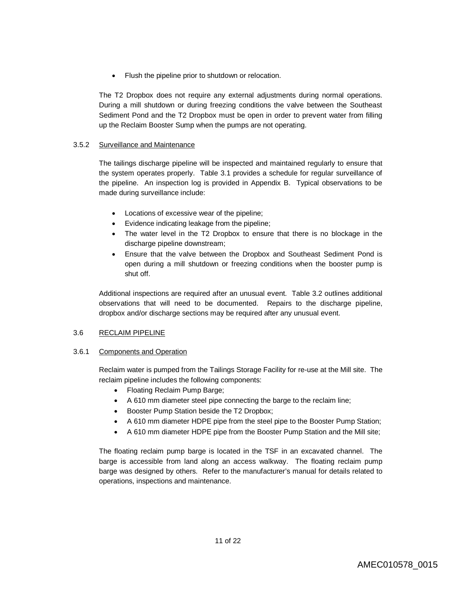• Flush the pipeline prior to shutdown or relocation.

The T2 Dropbox does not require any external adjustments during normal operations. During a mill shutdown or during freezing conditions the valve between the Southeast Sediment Pond and the T2 Dropbox must be open in order to prevent water from filling up the Reclaim Booster Sump when the pumps are not operating.

## 3.5.2 Surveillance and Maintenance

The tailings discharge pipeline will be inspected and maintained regularly to ensure that the system operates properly. Table 3.1 provides a schedule for regular surveillance of the pipeline. An inspection log is provided in Appendix B. Typical observations to be made during surveillance include:

- Locations of excessive wear of the pipeline;
- Evidence indicating leakage from the pipeline;
- The water level in the T2 Dropbox to ensure that there is no blockage in the discharge pipeline downstream;
- Ensure that the valve between the Dropbox and Southeast Sediment Pond is open during a mill shutdown or freezing conditions when the booster pump is shut off.

Additional inspections are required after an unusual event. Table 3.2 outlines additional observations that will need to be documented. Repairs to the discharge pipeline, dropbox and/or discharge sections may be required after any unusual event.

#### 3.6 RECLAIM PIPELINE

#### 3.6.1 Components and Operation

Reclaim water is pumped from the Tailings Storage Facility for re-use at the Mill site. The reclaim pipeline includes the following components:

- Floating Reclaim Pump Barge;
- A 610 mm diameter steel pipe connecting the barge to the reclaim line;
- Booster Pump Station beside the T2 Dropbox;
- A 610 mm diameter HDPE pipe from the steel pipe to the Booster Pump Station;
- A 610 mm diameter HDPE pipe from the Booster Pump Station and the Mill site;

The floating reclaim pump barge is located in the TSF in an excavated channel. The barge is accessible from land along an access walkway. The floating reclaim pump barge was designed by others. Refer to the manufacturer's manual for details related to operations, inspections and maintenance.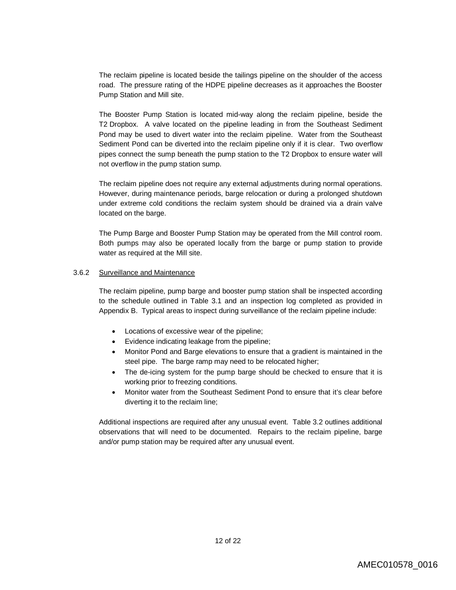The reclaim pipeline is located beside the tailings pipeline on the shoulder of the access road. The pressure rating of the HDPE pipeline decreases as it approaches the Booster Pump Station and Mill site.

The Booster Pump Station is located mid-way along the reclaim pipeline, beside the T2 Dropbox. A valve located on the pipeline leading in from the Southeast Sediment Pond may be used to divert water into the reclaim pipeline. Water from the Southeast Sediment Pond can be diverted into the reclaim pipeline only if it is clear. Two overflow pipes connect the sump beneath the pump station to the T2 Dropbox to ensure water will not overflow in the pump station sump.

The reclaim pipeline does not require any external adjustments during normal operations. However, during maintenance periods, barge relocation or during a prolonged shutdown under extreme cold conditions the reclaim system should be drained via a drain valve located on the barge.

The Pump Barge and Booster Pump Station may be operated from the Mill control room. Both pumps may also be operated locally from the barge or pump station to provide water as required at the Mill site.

#### 3.6.2 Surveillance and Maintenance

The reclaim pipeline, pump barge and booster pump station shall be inspected according to the schedule outlined in Table 3.1 and an inspection log completed as provided in Appendix B. Typical areas to inspect during surveillance of the reclaim pipeline include:

- Locations of excessive wear of the pipeline;
- Evidence indicating leakage from the pipeline;
- Monitor Pond and Barge elevations to ensure that a gradient is maintained in the steel pipe. The barge ramp may need to be relocated higher;
- The de-icing system for the pump barge should be checked to ensure that it is working prior to freezing conditions.
- Monitor water from the Southeast Sediment Pond to ensure that it's clear before diverting it to the reclaim line;

Additional inspections are required after any unusual event. Table 3.2 outlines additional observations that will need to be documented. Repairs to the reclaim pipeline, barge and/or pump station may be required after any unusual event.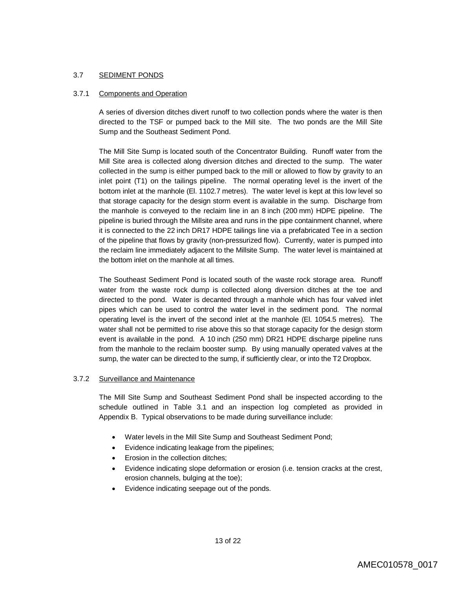## 3.7 SEDIMENT PONDS

## 3.7.1 Components and Operation

A series of diversion ditches divert runoff to two collection ponds where the water is then directed to the TSF or pumped back to the Mill site. The two ponds are the Mill Site Sump and the Southeast Sediment Pond.

The Mill Site Sump is located south of the Concentrator Building. Runoff water from the Mill Site area is collected along diversion ditches and directed to the sump. The water collected in the sump is either pumped back to the mill or allowed to flow by gravity to an inlet point (T1) on the tailings pipeline. The normal operating level is the invert of the bottom inlet at the manhole (El. 1102.7 metres). The water level is kept at this low level so that storage capacity for the design storm event is available in the sump. Discharge from the manhole is conveyed to the reclaim line in an 8 inch (200 mm) HDPE pipeline. The pipeline is buried through the Millsite area and runs in the pipe containment channel, where it is connected to the 22 inch DR17 HDPE tailings line via a prefabricated Tee in a section of the pipeline that flows by gravity (non-pressurized flow). Currently, water is pumped into the reclaim line immediately adjacent to the Millsite Sump. The water level is maintained at the bottom inlet on the manhole at all times.

The Southeast Sediment Pond is located south of the waste rock storage area. Runoff water from the waste rock dump is collected along diversion ditches at the toe and directed to the pond. Water is decanted through a manhole which has four valved inlet pipes which can be used to control the water level in the sediment pond. The normal operating level is the invert of the second inlet at the manhole (El. 1054.5 metres). The water shall not be permitted to rise above this so that storage capacity for the design storm event is available in the pond. A 10 inch (250 mm) DR21 HDPE discharge pipeline runs from the manhole to the reclaim booster sump. By using manually operated valves at the sump, the water can be directed to the sump, if sufficiently clear, or into the T2 Dropbox.

#### 3.7.2 Surveillance and Maintenance

The Mill Site Sump and Southeast Sediment Pond shall be inspected according to the schedule outlined in Table 3.1 and an inspection log completed as provided in Appendix B. Typical observations to be made during surveillance include:

- Water levels in the Mill Site Sump and Southeast Sediment Pond;
- Evidence indicating leakage from the pipelines;
- Erosion in the collection ditches;
- Evidence indicating slope deformation or erosion (i.e. tension cracks at the crest, erosion channels, bulging at the toe);
- Evidence indicating seepage out of the ponds.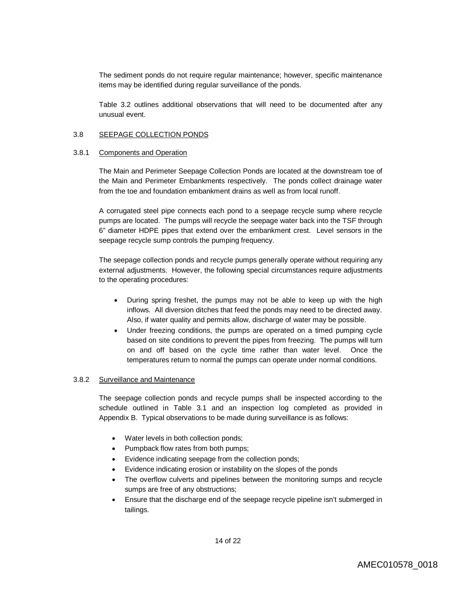The sediment ponds do not require regular maintenance; however, specific maintenance items may be identified during regular surveillance of the ponds.

Table 3.2 outlines additional observations that will need to be documented after any unusual event.

#### 3.8 SEEPAGE COLLECTION PONDS

#### 3.8.1 Components and Operation

The Main and Perimeter Seepage Collection Ponds are located at the downstream toe of the Main and Perimeter Embankments respectively. The ponds collect drainage water from the toe and foundation embankment drains as well as from local runoff.

A corrugated steel pipe connects each pond to a seepage recycle sump where recycle pumps are located. The pumps will recycle the seepage water back into the TSF through 6" diameter HDPE pipes that extend over the embankment crest. Level sensors in the seepage recycle sump controls the pumping frequency.

The seepage collection ponds and recycle pumps generally operate without requiring any external adjustments. However, the following special circumstances require adjustments to the operating procedures:

- During spring freshet, the pumps may not be able to keep up with the high inflows. All diversion ditches that feed the ponds may need to be directed away. Also, if water quality and permits allow, discharge of water may be possible.
- Under freezing conditions, the pumps are operated on a timed pumping cycle based on site conditions to prevent the pipes from freezing. The pumps will turn on and off based on the cycle time rather than water level. Once the temperatures return to normal the pumps can operate under normal conditions.

#### 3.8.2 Surveillance and Maintenance

The seepage collection ponds and recycle pumps shall be inspected according to the schedule outlined in Table 3.1 and an inspection log completed as provided in Appendix B. Typical observations to be made during surveillance is as follows:

- Water levels in both collection ponds;
- Pumpback flow rates from both pumps;
- Evidence indicating seepage from the collection ponds;
- Evidence indicating erosion or instability on the slopes of the ponds
- The overflow culverts and pipelines between the monitoring sumps and recycle sumps are free of any obstructions;
- Ensure that the discharge end of the seepage recycle pipeline isn't submerged in tailings.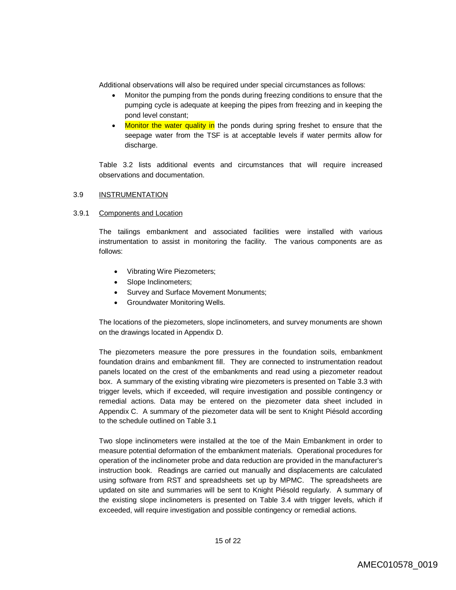Additional observations will also be required under special circumstances as follows:

- Monitor the pumping from the ponds during freezing conditions to ensure that the pumping cycle is adequate at keeping the pipes from freezing and in keeping the pond level constant;
- Monitor the water quality in the ponds during spring freshet to ensure that the seepage water from the TSF is at acceptable levels if water permits allow for discharge.

Table 3.2 lists additional events and circumstances that will require increased observations and documentation.

#### 3.9 INSTRUMENTATION

#### 3.9.1 Components and Location

The tailings embankment and associated facilities were installed with various instrumentation to assist in monitoring the facility. The various components are as follows:

- Vibrating Wire Piezometers;
- Slope Inclinometers;
- Survey and Surface Movement Monuments;
- Groundwater Monitoring Wells.

The locations of the piezometers, slope inclinometers, and survey monuments are shown on the drawings located in Appendix D.

The piezometers measure the pore pressures in the foundation soils, embankment foundation drains and embankment fill. They are connected to instrumentation readout panels located on the crest of the embankments and read using a piezometer readout box. A summary of the existing vibrating wire piezometers is presented on Table 3.3 with trigger levels, which if exceeded, will require investigation and possible contingency or remedial actions. Data may be entered on the piezometer data sheet included in Appendix C. A summary of the piezometer data will be sent to Knight Piésold according to the schedule outlined on Table 3.1

Two slope inclinometers were installed at the toe of the Main Embankment in order to measure potential deformation of the embankment materials. Operational procedures for operation of the inclinometer probe and data reduction are provided in the manufacturer's instruction book. Readings are carried out manually and displacements are calculated using software from RST and spreadsheets set up by MPMC. The spreadsheets are updated on site and summaries will be sent to Knight Piésold regularly. A summary of the existing slope inclinometers is presented on Table 3.4 with trigger levels, which if exceeded, will require investigation and possible contingency or remedial actions.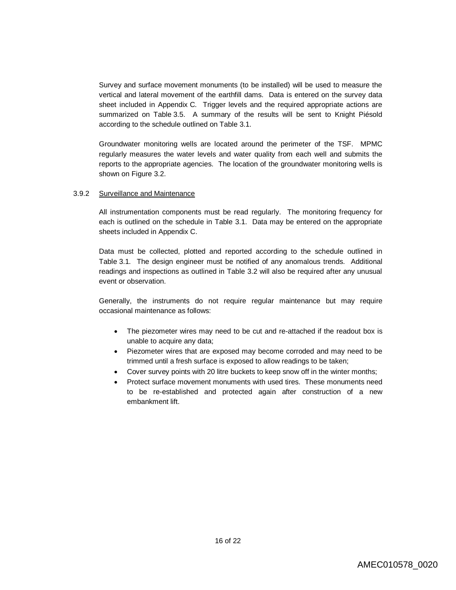Survey and surface movement monuments (to be installed) will be used to measure the vertical and lateral movement of the earthfill dams. Data is entered on the survey data sheet included in Appendix C. Trigger levels and the required appropriate actions are summarized on Table 3.5. A summary of the results will be sent to Knight Piésold according to the schedule outlined on Table 3.1.

Groundwater monitoring wells are located around the perimeter of the TSF. MPMC regularly measures the water levels and water quality from each well and submits the reports to the appropriate agencies. The location of the groundwater monitoring wells is shown on Figure 3.2.

#### 3.9.2 Surveillance and Maintenance

All instrumentation components must be read regularly. The monitoring frequency for each is outlined on the schedule in Table 3.1. Data may be entered on the appropriate sheets included in Appendix C.

Data must be collected, plotted and reported according to the schedule outlined in Table 3.1. The design engineer must be notified of any anomalous trends. Additional readings and inspections as outlined in Table 3.2 will also be required after any unusual event or observation.

Generally, the instruments do not require regular maintenance but may require occasional maintenance as follows:

- The piezometer wires may need to be cut and re-attached if the readout box is unable to acquire any data;
- Piezometer wires that are exposed may become corroded and may need to be trimmed until a fresh surface is exposed to allow readings to be taken;
- Cover survey points with 20 litre buckets to keep snow off in the winter months;
- Protect surface movement monuments with used tires. These monuments need to be re-established and protected again after construction of a new embankment lift.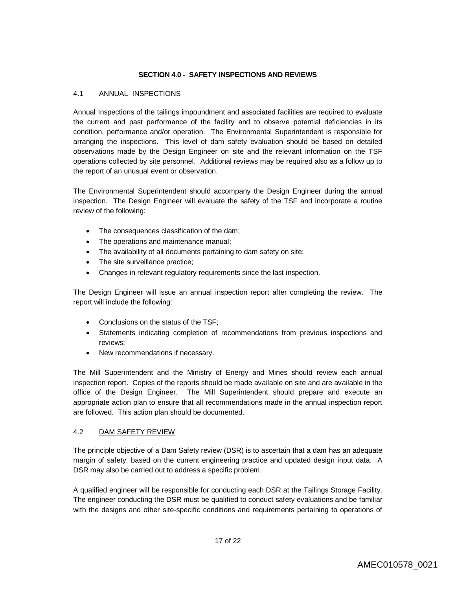## **SECTION 4.0 - SAFETY INSPECTIONS AND REVIEWS**

## 4.1 ANNUAL INSPECTIONS

Annual Inspections of the tailings impoundment and associated facilities are required to evaluate the current and past performance of the facility and to observe potential deficiencies in its condition, performance and/or operation. The Environmental Superintendent is responsible for arranging the inspections. This level of dam safety evaluation should be based on detailed observations made by the Design Engineer on site and the relevant information on the TSF operations collected by site personnel. Additional reviews may be required also as a follow up to the report of an unusual event or observation.

The Environmental Superintendent should accompany the Design Engineer during the annual inspection. The Design Engineer will evaluate the safety of the TSF and incorporate a routine review of the following:

- The consequences classification of the dam;
- The operations and maintenance manual;
- The availability of all documents pertaining to dam safety on site;
- The site surveillance practice;
- Changes in relevant regulatory requirements since the last inspection.

The Design Engineer will issue an annual inspection report after completing the review. The report will include the following:

- Conclusions on the status of the TSF;
- Statements indicating completion of recommendations from previous inspections and reviews;
- New recommendations if necessary.

The Mill Superintendent and the Ministry of Energy and Mines should review each annual inspection report. Copies of the reports should be made available on site and are available in the office of the Design Engineer. The Mill Superintendent should prepare and execute an appropriate action plan to ensure that all recommendations made in the annual inspection report are followed. This action plan should be documented.

# 4.2 DAM SAFETY REVIEW

The principle objective of a Dam Safety review (DSR) is to ascertain that a dam has an adequate margin of safety, based on the current engineering practice and updated design input data. A DSR may also be carried out to address a specific problem.

A qualified engineer will be responsible for conducting each DSR at the Tailings Storage Facility. The engineer conducting the DSR must be qualified to conduct safety evaluations and be familiar with the designs and other site-specific conditions and requirements pertaining to operations of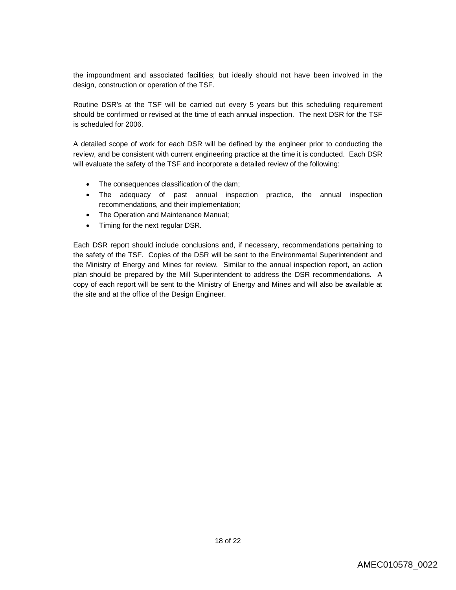the impoundment and associated facilities; but ideally should not have been involved in the design, construction or operation of the TSF.

Routine DSR's at the TSF will be carried out every 5 years but this scheduling requirement should be confirmed or revised at the time of each annual inspection. The next DSR for the TSF is scheduled for 2006.

A detailed scope of work for each DSR will be defined by the engineer prior to conducting the review, and be consistent with current engineering practice at the time it is conducted. Each DSR will evaluate the safety of the TSF and incorporate a detailed review of the following:

- The consequences classification of the dam;
- The adequacy of past annual inspection practice, the annual inspection recommendations, and their implementation;
- The Operation and Maintenance Manual;
- Timing for the next regular DSR.

Each DSR report should include conclusions and, if necessary, recommendations pertaining to the safety of the TSF. Copies of the DSR will be sent to the Environmental Superintendent and the Ministry of Energy and Mines for review. Similar to the annual inspection report, an action plan should be prepared by the Mill Superintendent to address the DSR recommendations. A copy of each report will be sent to the Ministry of Energy and Mines and will also be available at the site and at the office of the Design Engineer.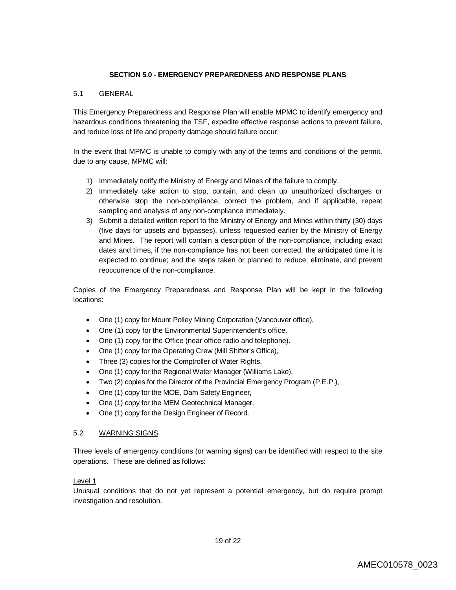## **SECTION 5.0 - EMERGENCY PREPAREDNESS AND RESPONSE PLANS**

## 5.1 GENERAL

This Emergency Preparedness and Response Plan will enable MPMC to identify emergency and hazardous conditions threatening the TSF, expedite effective response actions to prevent failure, and reduce loss of life and property damage should failure occur.

In the event that MPMC is unable to comply with any of the terms and conditions of the permit, due to any cause, MPMC will:

- 1) Immediately notify the Ministry of Energy and Mines of the failure to comply.
- 2) Immediately take action to stop, contain, and clean up unauthorized discharges or otherwise stop the non-compliance, correct the problem, and if applicable, repeat sampling and analysis of any non-compliance immediately.
- 3) Submit a detailed written report to the Ministry of Energy and Mines within thirty (30) days (five days for upsets and bypasses), unless requested earlier by the Ministry of Energy and Mines. The report will contain a description of the non-compliance, including exact dates and times, if the non-compliance has not been corrected, the anticipated time it is expected to continue; and the steps taken or planned to reduce, eliminate, and prevent reoccurrence of the non-compliance.

Copies of the Emergency Preparedness and Response Plan will be kept in the following locations:

- One (1) copy for Mount Polley Mining Corporation (Vancouver office),
- One (1) copy for the Environmental Superintendent's office.
- One (1) copy for the Office (near office radio and telephone).
- One (1) copy for the Operating Crew (Mill Shifter's Office),
- Three (3) copies for the Comptroller of Water Rights,
- One (1) copy for the Regional Water Manager (Williams Lake),
- Two (2) copies for the Director of the Provincial Emergency Program (P.E.P.),
- One (1) copy for the MOE, Dam Safety Engineer,
- One (1) copy for the MEM Geotechnical Manager,
- One (1) copy for the Design Engineer of Record.

#### 5.2 WARNING SIGNS

Three levels of emergency conditions (or warning signs) can be identified with respect to the site operations. These are defined as follows:

## Level 1

Unusual conditions that do not yet represent a potential emergency, but do require prompt investigation and resolution.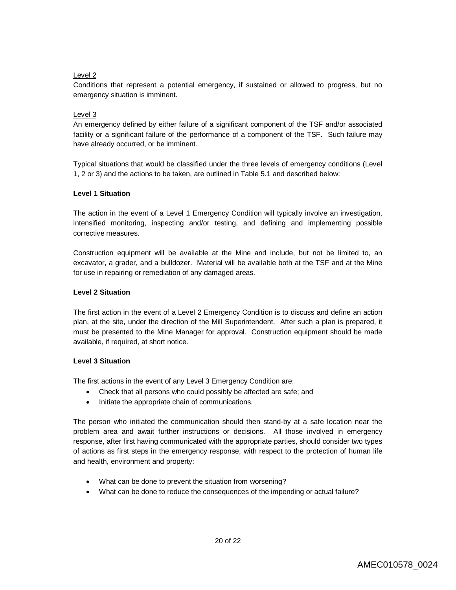# Level 2

Conditions that represent a potential emergency, if sustained or allowed to progress, but no emergency situation is imminent.

# Level 3

An emergency defined by either failure of a significant component of the TSF and/or associated facility or a significant failure of the performance of a component of the TSF. Such failure may have already occurred, or be imminent.

Typical situations that would be classified under the three levels of emergency conditions (Level 1, 2 or 3) and the actions to be taken, are outlined in Table 5.1 and described below:

## **Level 1 Situation**

The action in the event of a Level 1 Emergency Condition will typically involve an investigation, intensified monitoring, inspecting and/or testing, and defining and implementing possible corrective measures.

Construction equipment will be available at the Mine and include, but not be limited to, an excavator, a grader, and a bulldozer. Material will be available both at the TSF and at the Mine for use in repairing or remediation of any damaged areas.

# **Level 2 Situation**

The first action in the event of a Level 2 Emergency Condition is to discuss and define an action plan, at the site, under the direction of the Mill Superintendent. After such a plan is prepared, it must be presented to the Mine Manager for approval. Construction equipment should be made available, if required, at short notice.

# **Level 3 Situation**

The first actions in the event of any Level 3 Emergency Condition are:

- Check that all persons who could possibly be affected are safe; and
- Initiate the appropriate chain of communications.

The person who initiated the communication should then stand-by at a safe location near the problem area and await further instructions or decisions. All those involved in emergency response, after first having communicated with the appropriate parties, should consider two types of actions as first steps in the emergency response, with respect to the protection of human life and health, environment and property:

- What can be done to prevent the situation from worsening?
- What can be done to reduce the consequences of the impending or actual failure?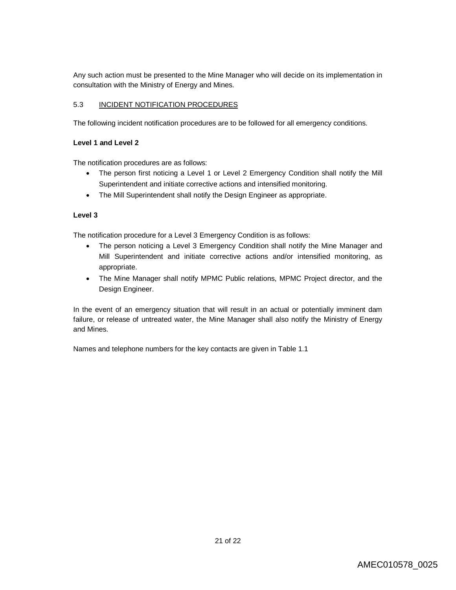Any such action must be presented to the Mine Manager who will decide on its implementation in consultation with the Ministry of Energy and Mines.

# 5.3 INCIDENT NOTIFICATION PROCEDURES

The following incident notification procedures are to be followed for all emergency conditions.

# **Level 1 and Level 2**

The notification procedures are as follows:

- The person first noticing a Level 1 or Level 2 Emergency Condition shall notify the Mill Superintendent and initiate corrective actions and intensified monitoring.
- The Mill Superintendent shall notify the Design Engineer as appropriate.

# **Level 3**

The notification procedure for a Level 3 Emergency Condition is as follows:

- The person noticing a Level 3 Emergency Condition shall notify the Mine Manager and Mill Superintendent and initiate corrective actions and/or intensified monitoring, as appropriate.
- The Mine Manager shall notify MPMC Public relations, MPMC Project director, and the Design Engineer.

In the event of an emergency situation that will result in an actual or potentially imminent dam failure, or release of untreated water, the Mine Manager shall also notify the Ministry of Energy and Mines.

Names and telephone numbers for the key contacts are given in Table 1.1